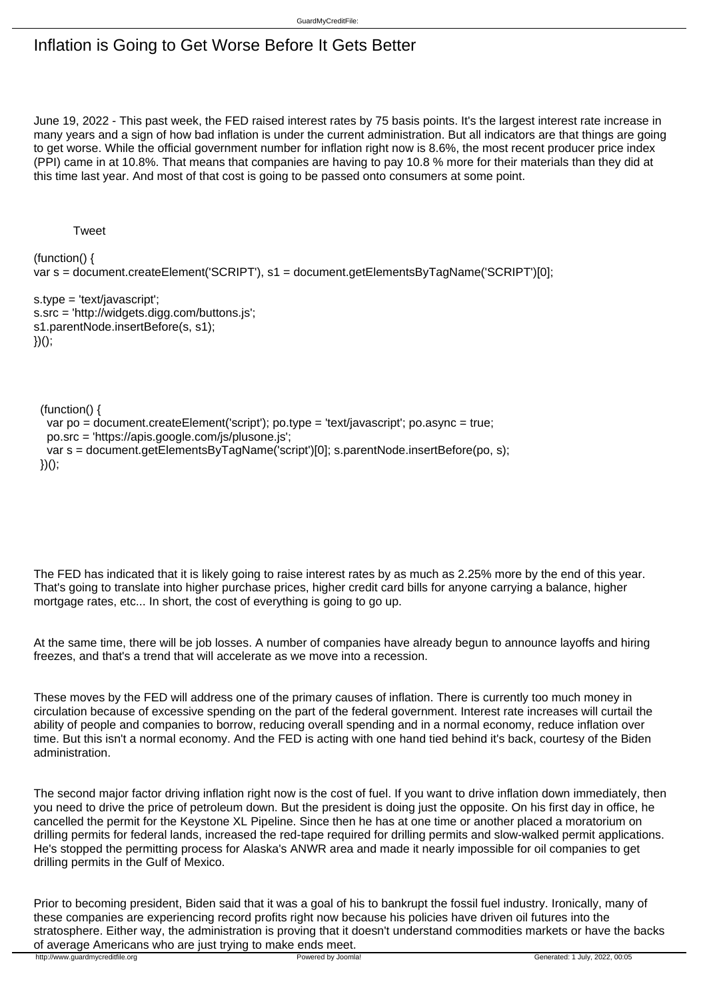## Inflation is Going to Get Worse Before It Gets Better

June 19, 2022 - This past week, the FED raised interest rates by 75 basis points. It's the largest interest rate increase in many years and a sign of how bad inflation is under the current administration. But all indicators are that things are going to get worse. While the official government number for inflation right now is 8.6%, the most recent producer price index (PPI) came in at 10.8%. That means that companies are having to pay 10.8 % more for their materials than they did at this time last year. And most of that cost is going to be passed onto consumers at some point.

**Tweet** 

(function() { var s = document.createElement('SCRIPT'), s1 = document.getElementsByTagName('SCRIPT')[0];

s.type = 'text/javascript'; s.src = 'http://widgets.digg.com/buttons.js'; s1.parentNode.insertBefore(s, s1); })();

(function() {

```
 var po = document.createElement('script'); po.type = 'text/javascript'; po.async = true;

po.src = 'https://apis.google.com/js/plusone.js';

var s = document.getElementsByTagName('script')[0]; s.parentNode.insertBefore(po, s);
```

```
 })();
```
The FED has indicated that it is likely going to raise interest rates by as much as 2.25% more by the end of this year. That's going to translate into higher purchase prices, higher credit card bills for anyone carrying a balance, higher mortgage rates, etc... In short, the cost of everything is going to go up.

At the same time, there will be job losses. A number of companies have already begun to announce layoffs and hiring freezes, and that's a trend that will accelerate as we move into a recession.

These moves by the FED will address one of the primary causes of inflation. There is currently too much money in circulation because of excessive spending on the part of the federal government. Interest rate increases will curtail the ability of people and companies to borrow, reducing overall spending and in a normal economy, reduce inflation over time. But this isn't a normal economy. And the FED is acting with one hand tied behind it's back, courtesy of the Biden administration.

The second major factor driving inflation right now is the cost of fuel. If you want to drive inflation down immediately, then you need to drive the price of petroleum down. But the president is doing just the opposite. On his first day in office, he cancelled the permit for the Keystone XL Pipeline. Since then he has at one time or another placed a moratorium on drilling permits for federal lands, increased the red-tape required for drilling permits and slow-walked permit applications. He's stopped the permitting process for Alaska's ANWR area and made it nearly impossible for oil companies to get drilling permits in the Gulf of Mexico.

Prior to becoming president, Biden said that it was a goal of his to bankrupt the fossil fuel industry. Ironically, many of these companies are experiencing record profits right now because his policies have driven oil futures into the stratosphere. Either way, the administration is proving that it doesn't understand commodities markets or have the backs of average Americans who are just trying to make ends meet.<br>http://www.guardmycreditfile.org